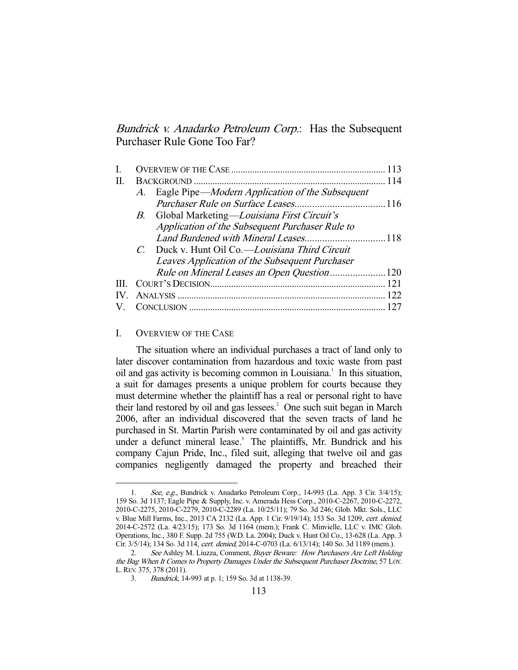Bundrick v. Anadarko Petroleum Corp.: Has the Subsequent Purchaser Rule Gone Too Far?

| П.  |    |                                                 |  |
|-----|----|-------------------------------------------------|--|
|     | A. | Eagle Pipe—Modern Application of the Subsequent |  |
|     |    |                                                 |  |
|     |    | B. Global Marketing—Louisiana First Circuit's   |  |
|     |    | Application of the Subsequent Purchaser Rule to |  |
|     |    |                                                 |  |
|     |    | C. Duck v. Hunt Oil Co.—Louisiana Third Circuit |  |
|     |    | Leaves Application of the Subsequent Purchaser  |  |
|     |    |                                                 |  |
|     |    |                                                 |  |
| IV. |    |                                                 |  |
|     |    |                                                 |  |

### I. OVERVIEW OF THE CASE

-

 The situation where an individual purchases a tract of land only to later discover contamination from hazardous and toxic waste from past oil and gas activity is becoming common in Louisiana.<sup>1</sup> In this situation, a suit for damages presents a unique problem for courts because they must determine whether the plaintiff has a real or personal right to have their land restored by oil and gas lessees.<sup>2</sup> One such suit began in March 2006, after an individual discovered that the seven tracts of land he purchased in St. Martin Parish were contaminated by oil and gas activity under a defunct mineral lease.<sup>3</sup> The plaintiffs, Mr. Bundrick and his company Cajun Pride, Inc., filed suit, alleging that twelve oil and gas companies negligently damaged the property and breached their

 <sup>1.</sup> See, e.g., Bundrick v. Anadarko Petroleum Corp., 14-993 (La. App. 3 Cir. 3/4/15); 159 So. 3d 1137; Eagle Pipe & Supply, Inc. v. Amerada Hess Corp., 2010-C-2267, 2010-C-2272, 2010-C-2275, 2010-C-2279, 2010-C-2289 (La. 10/25/11); 79 So. 3d 246; Glob. Mkt. Sols., LLC v. Blue Mill Farms, Inc., 2013 CA 2132 (La. App. 1 Cir. 9/19/14); 153 So. 3d 1209, cert. denied, 2014-C-2572 (La. 4/23/15); 173 So. 3d 1164 (mem.); Frank C. Minvielle, LLC v. IMC Glob. Operations, Inc., 380 F. Supp. 2d 755 (W.D. La. 2004); Duck v. Hunt Oil Co., 13-628 (La. App. 3 Cir. 3/5/14); 134 So. 3d 114, cert. denied, 2014-C-0703 (La. 6/13/14); 140 So. 3d 1189 (mem.).

<sup>2.</sup> See Ashley M. Liuzza, Comment, Buyer Beware: How Purchasers Are Left Holding the Bag When It Comes to Property Damages Under the Subsequent Purchaser Doctrine, 57 LOY. L.REV. 375, 378 (2011).

 <sup>3.</sup> Bundrick, 14-993 at p. 1; 159 So. 3d at 1138-39.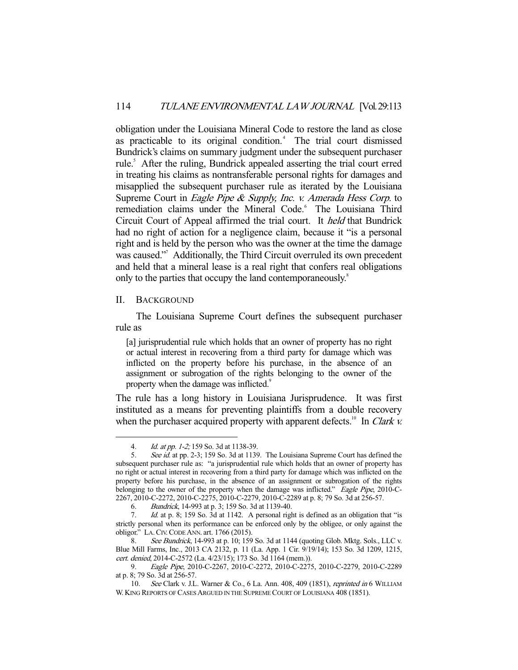obligation under the Louisiana Mineral Code to restore the land as close as practicable to its original condition.<sup>4</sup> The trial court dismissed Bundrick's claims on summary judgment under the subsequent purchaser rule.<sup>5</sup> After the ruling, Bundrick appealed asserting the trial court erred in treating his claims as nontransferable personal rights for damages and misapplied the subsequent purchaser rule as iterated by the Louisiana Supreme Court in *Eagle Pipe & Supply, Inc. v. Amerada Hess Corp.* to remediation claims under the Mineral Code.<sup>6</sup> The Louisiana Third Circuit Court of Appeal affirmed the trial court. It held that Bundrick had no right of action for a negligence claim, because it "is a personal right and is held by the person who was the owner at the time the damage was caused."<sup>7</sup> Additionally, the Third Circuit overruled its own precedent and held that a mineral lease is a real right that confers real obligations only to the parties that occupy the land contemporaneously.<sup>8</sup>

### II. BACKGROUND

-

 The Louisiana Supreme Court defines the subsequent purchaser rule as

[a] jurisprudential rule which holds that an owner of property has no right or actual interest in recovering from a third party for damage which was inflicted on the property before his purchase, in the absence of an assignment or subrogation of the rights belonging to the owner of the property when the damage was inflicted.<sup>9</sup>

The rule has a long history in Louisiana Jurisprudence. It was first instituted as a means for preventing plaintiffs from a double recovery when the purchaser acquired property with apparent defects.<sup>10</sup> In *Clark v.* 

<sup>4.</sup> *Id. at pp. 1-2*; 159 So. 3d at 1138-39.

<sup>5.</sup> See id. at pp. 2-3; 159 So. 3d at 1139. The Louisiana Supreme Court has defined the subsequent purchaser rule as: "a jurisprudential rule which holds that an owner of property has no right or actual interest in recovering from a third party for damage which was inflicted on the property before his purchase, in the absence of an assignment or subrogation of the rights belonging to the owner of the property when the damage was inflicted." Eagle Pipe, 2010-C-2267, 2010-C-2272, 2010-C-2275, 2010-C-2279, 2010-C-2289 at p. 8; 79 So. 3d at 256-57.

 <sup>6.</sup> Bundrick, 14-993 at p. 3; 159 So. 3d at 1139-40.

 <sup>7.</sup> Id. at p. 8; 159 So. 3d at 1142. A personal right is defined as an obligation that "is strictly personal when its performance can be enforced only by the obligee, or only against the obligor." LA.CIV.CODE ANN. art. 1766 (2015).

<sup>8.</sup> See Bundrick, 14-993 at p. 10; 159 So. 3d at 1144 (quoting Glob. Mktg. Sols., LLC v. Blue Mill Farms, Inc., 2013 CA 2132, p. 11 (La. App. 1 Cir. 9/19/14); 153 So. 3d 1209, 1215, cert. denied, 2014-C-2572 (La. 4/23/15); 173 So. 3d 1164 (mem.)).

 <sup>9.</sup> Eagle Pipe, 2010-C-2267, 2010-C-2272, 2010-C-2275, 2010-C-2279, 2010-C-2289 at p. 8; 79 So. 3d at 256-57.

 <sup>10.</sup> See Clark v. J.L. Warner & Co., 6 La. Ann. 408, 409 (1851), reprinted in 6 WILLIAM W. KING REPORTS OF CASES ARGUED IN THE SUPREME COURT OF LOUISIANA 408 (1851).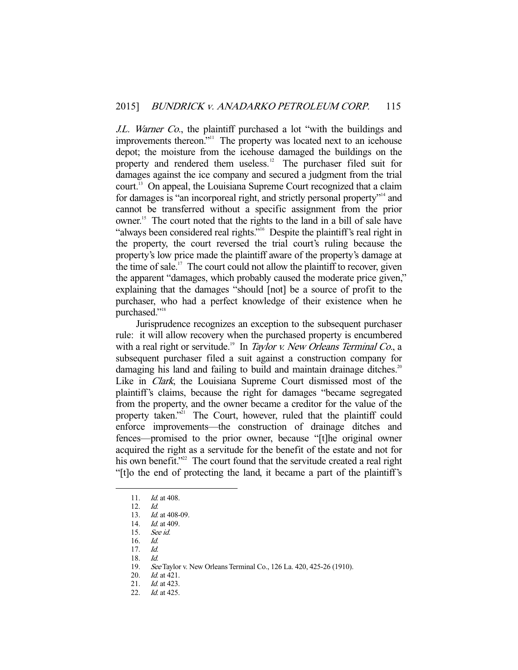J.L. Warner Co., the plaintiff purchased a lot "with the buildings and improvements thereon."<sup>11</sup> The property was located next to an icehouse depot; the moisture from the icehouse damaged the buildings on the property and rendered them useless.<sup>12</sup> The purchaser filed suit for damages against the ice company and secured a judgment from the trial court.13 On appeal, the Louisiana Supreme Court recognized that a claim for damages is "an incorporeal right, and strictly personal property"14 and cannot be transferred without a specific assignment from the prior owner.<sup>15</sup> The court noted that the rights to the land in a bill of sale have "always been considered real rights."<sup>16</sup> Despite the plaintiff's real right in the property, the court reversed the trial court's ruling because the property's low price made the plaintiff aware of the property's damage at the time of sale.<sup>17</sup> The court could not allow the plaintiff to recover, given the apparent "damages, which probably caused the moderate price given," explaining that the damages "should [not] be a source of profit to the purchaser, who had a perfect knowledge of their existence when he purchased."<sup>18</sup>

 Jurisprudence recognizes an exception to the subsequent purchaser rule: it will allow recovery when the purchased property is encumbered with a real right or servitude.<sup>19</sup> In *Taylor v. New Orleans Terminal Co.*, a subsequent purchaser filed a suit against a construction company for damaging his land and failing to build and maintain drainage ditches.<sup>20</sup> Like in Clark, the Louisiana Supreme Court dismissed most of the plaintiff's claims, because the right for damages "became segregated from the property, and the owner became a creditor for the value of the property taken."<sup>21</sup> The Court, however, ruled that the plaintiff could enforce improvements—the construction of drainage ditches and fences—promised to the prior owner, because "[t]he original owner acquired the right as a servitude for the benefit of the estate and not for his own benefit."<sup>22</sup> The court found that the servitude created a real right "[t]o the end of protecting the land, it became a part of the plaintiff's

-

18. Id.

<sup>11.</sup> *Id.* at 408.

 <sup>12.</sup> Id.

<sup>13.</sup> *Id.* at 408-09.

<sup>14.</sup> *Id.* at 409.

 <sup>15.</sup> See id.

 <sup>16.</sup> Id.

 <sup>17.</sup> Id.

 <sup>19.</sup> See Taylor v. New Orleans Terminal Co., 126 La. 420, 425-26 (1910).

<sup>20.</sup> *Id.* at 421.

 <sup>21.</sup> Id. at 423.

<sup>22.</sup> *Id.* at 425.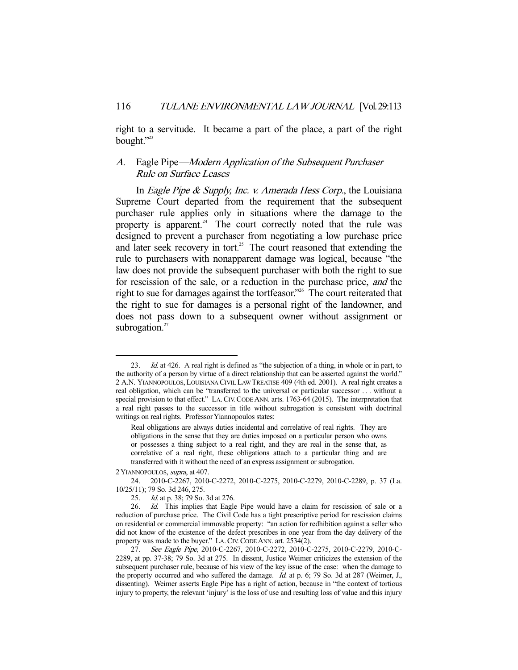right to a servitude. It became a part of the place, a part of the right bought."23

## A. Eagle Pipe—Modern Application of the Subsequent Purchaser Rule on Surface Leases

In *Eagle Pipe & Supply, Inc. v. Amerada Hess Corp.*, the Louisiana Supreme Court departed from the requirement that the subsequent purchaser rule applies only in situations where the damage to the property is apparent.<sup>24</sup> The court correctly noted that the rule was designed to prevent a purchaser from negotiating a low purchase price and later seek recovery in tort.<sup>25</sup> The court reasoned that extending the rule to purchasers with nonapparent damage was logical, because "the law does not provide the subsequent purchaser with both the right to sue for rescission of the sale, or a reduction in the purchase price, and the right to sue for damages against the tortfeasor."<sup>26</sup> The court reiterated that the right to sue for damages is a personal right of the landowner, and does not pass down to a subsequent owner without assignment or subrogation. $27$ 

2 YIANNOPOULOS, supra, at 407.

<sup>23.</sup> *Id.* at 426. A real right is defined as "the subjection of a thing, in whole or in part, to the authority of a person by virtue of a direct relationship that can be asserted against the world." 2 A.N. YIANNOPOULOS, LOUISIANA CIVIL LAW TREATISE 409 (4th ed. 2001). A real right creates a real obligation, which can be "transferred to the universal or particular successor . . . without a special provision to that effect." LA.CIV.CODE ANN. arts. 1763-64 (2015). The interpretation that a real right passes to the successor in title without subrogation is consistent with doctrinal writings on real rights. Professor Yiannopoulos states:

Real obligations are always duties incidental and correlative of real rights. They are obligations in the sense that they are duties imposed on a particular person who owns or possesses a thing subject to a real right, and they are real in the sense that, as correlative of a real right, these obligations attach to a particular thing and are transferred with it without the need of an express assignment or subrogation.

 <sup>24. 2010-</sup>C-2267, 2010-C-2272, 2010-C-2275, 2010-C-2279, 2010-C-2289, p. 37 (La. 10/25/11); 79 So. 3d 246, 275.

 <sup>25.</sup> Id. at p. 38; 79 So. 3d at 276.

<sup>26.</sup> Id. This implies that Eagle Pipe would have a claim for rescission of sale or a reduction of purchase price. The Civil Code has a tight prescriptive period for rescission claims on residential or commercial immovable property: "an action for redhibition against a seller who did not know of the existence of the defect prescribes in one year from the day delivery of the property was made to the buyer." LA.CIV.CODE ANN. art. 2534(2).

 <sup>27.</sup> See Eagle Pipe, 2010-C-2267, 2010-C-2272, 2010-C-2275, 2010-C-2279, 2010-C-2289, at pp. 37-38; 79 So. 3d at 275. In dissent, Justice Weimer criticizes the extension of the subsequent purchaser rule, because of his view of the key issue of the case: when the damage to the property occurred and who suffered the damage. *Id.* at p. 6; 79 So. 3d at 287 (Weimer, J., dissenting). Weimer asserts Eagle Pipe has a right of action, because in "the context of tortious injury to property, the relevant 'injury' is the loss of use and resulting loss of value and this injury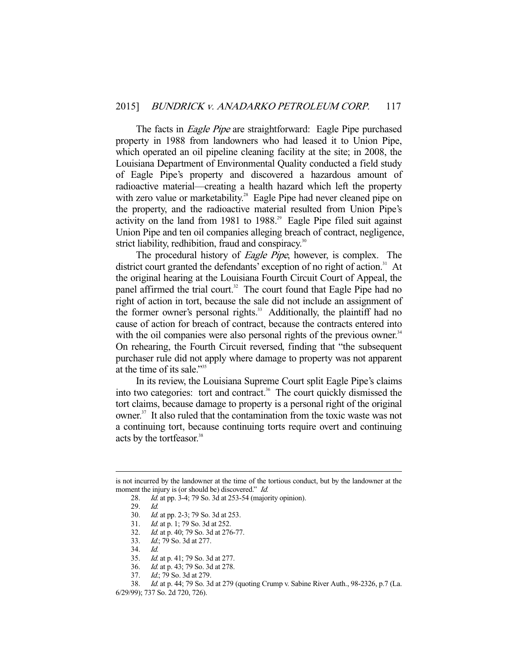The facts in *Eagle Pipe* are straightforward: Eagle Pipe purchased property in 1988 from landowners who had leased it to Union Pipe, which operated an oil pipeline cleaning facility at the site; in 2008, the Louisiana Department of Environmental Quality conducted a field study of Eagle Pipe's property and discovered a hazardous amount of radioactive material—creating a health hazard which left the property with zero value or marketability.<sup>28</sup> Eagle Pipe had never cleaned pipe on the property, and the radioactive material resulted from Union Pipe's activity on the land from 1981 to  $1988$ <sup>29</sup> Eagle Pipe filed suit against Union Pipe and ten oil companies alleging breach of contract, negligence, strict liability, redhibition, fraud and conspiracy.<sup>30</sup>

The procedural history of *Eagle Pipe*, however, is complex. The district court granted the defendants' exception of no right of action.<sup>31</sup> At the original hearing at the Louisiana Fourth Circuit Court of Appeal, the panel affirmed the trial court.<sup>32</sup> The court found that Eagle Pipe had no right of action in tort, because the sale did not include an assignment of the former owner's personal rights.<sup>33</sup> Additionally, the plaintiff had no cause of action for breach of contract, because the contracts entered into with the oil companies were also personal rights of the previous owner.<sup>34</sup> On rehearing, the Fourth Circuit reversed, finding that "the subsequent purchaser rule did not apply where damage to property was not apparent at the time of its sale."35

 In its review, the Louisiana Supreme Court split Eagle Pipe's claims into two categories: tort and contract.<sup>36</sup> The court quickly dismissed the tort claims, because damage to property is a personal right of the original owner.<sup>37</sup> It also ruled that the contamination from the toxic waste was not a continuing tort, because continuing torts require overt and continuing acts by the tortfeasor.<sup>38</sup>

-

33. Id.; 79 So. 3d at 277.

- 35. Id. at p. 41; 79 So. 3d at 277.
- 36. Id. at p. 43; 79 So. 3d at 278.

is not incurred by the landowner at the time of the tortious conduct, but by the landowner at the moment the injury is (or should be) discovered." *Id.* 

 <sup>28.</sup> Id. at pp. 3-4; 79 So. 3d at 253-54 (majority opinion).

 <sup>29.</sup> Id.

 <sup>30.</sup> Id. at pp. 2-3; 79 So. 3d at 253.

 <sup>31.</sup> Id. at p. 1; 79 So. 3d at 252.

 <sup>32.</sup> Id. at p. 40; 79 So. 3d at 276-77.

 <sup>34.</sup> Id.

 <sup>37.</sup> Id.; 79 So. 3d at 279.

 <sup>38.</sup> Id. at p. 44; 79 So. 3d at 279 (quoting Crump v. Sabine River Auth., 98-2326, p.7 (La. 6/29/99); 737 So. 2d 720, 726).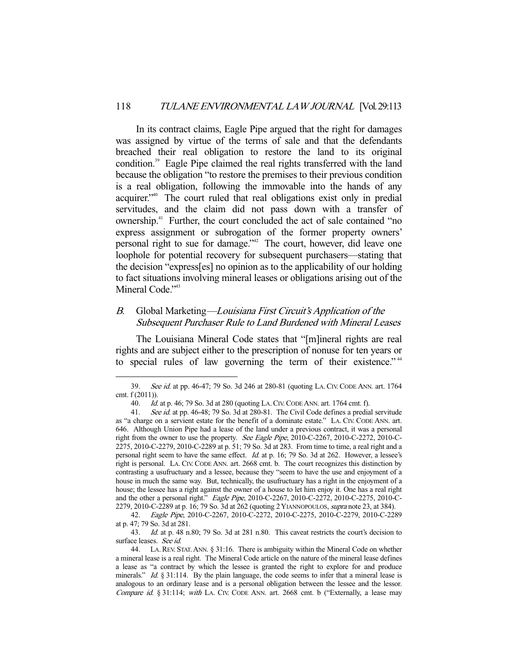In its contract claims, Eagle Pipe argued that the right for damages was assigned by virtue of the terms of sale and that the defendants breached their real obligation to restore the land to its original condition.39 Eagle Pipe claimed the real rights transferred with the land because the obligation "to restore the premises to their previous condition is a real obligation, following the immovable into the hands of any acquirer."40 The court ruled that real obligations exist only in predial servitudes, and the claim did not pass down with a transfer of ownership.41 Further, the court concluded the act of sale contained "no express assignment or subrogation of the former property owners' personal right to sue for damage."42 The court, however, did leave one loophole for potential recovery for subsequent purchasers—stating that the decision "express[es] no opinion as to the applicability of our holding to fact situations involving mineral leases or obligations arising out of the Mineral Code."<sup>43</sup>

## B. Global Marketing—Louisiana First Circuit's Application of the Subsequent Purchaser Rule to Land Burdened with Mineral Leases

 The Louisiana Mineral Code states that "[m]ineral rights are real rights and are subject either to the prescription of nonuse for ten years or to special rules of law governing the term of their existence."<sup>44</sup>

 <sup>39.</sup> See id. at pp. 46-47; 79 So. 3d 246 at 280-81 (quoting LA.CIV.CODE ANN. art. 1764 cmt. f (2011)).

 <sup>40.</sup> Id. at p. 46; 79 So. 3d at 280 (quoting LA.CIV.CODE ANN. art. 1764 cmt. f).

<sup>41.</sup> See id. at pp. 46-48; 79 So. 3d at 280-81. The Civil Code defines a predial servitude as "a charge on a servient estate for the benefit of a dominate estate." LA. CIV. CODE ANN. art. 646. Although Union Pipe had a lease of the land under a previous contract, it was a personal right from the owner to use the property. See Eagle Pipe, 2010-C-2267, 2010-C-2272, 2010-C-2275, 2010-C-2279, 2010-C-2289 at p. 51; 79 So. 3d at 283. From time to time, a real right and a personal right seem to have the same effect. Id. at p. 16; 79 So. 3d at 262. However, a lessee's right is personal. LA. CIV.CODE ANN. art. 2668 cmt. b. The court recognizes this distinction by contrasting a usufructuary and a lessee, because they "seem to have the use and enjoyment of a house in much the same way. But, technically, the usufructuary has a right in the enjoyment of a house; the lessee has a right against the owner of a house to let him enjoy it. One has a real right and the other a personal right." *Eagle Pipe*, 2010-C-2267, 2010-C-2272, 2010-C-2275, 2010-C-2279, 2010-C-2289 at p. 16; 79 So. 3d at 262 (quoting 2 YIANNOPOULOS, supra note 23, at 384).

 <sup>42.</sup> Eagle Pipe, 2010-C-2267, 2010-C-2272, 2010-C-2275, 2010-C-2279, 2010-C-2289 at p. 47; 79 So. 3d at 281.

 <sup>43.</sup> Id. at p. 48 n.80; 79 So. 3d at 281 n.80. This caveat restricts the court's decision to surface leases. See id.

 <sup>44.</sup> LA.REV. STAT.ANN. § 31:16. There is ambiguity within the Mineral Code on whether a mineral lease is a real right. The Mineral Code article on the nature of the mineral lease defines a lease as "a contract by which the lessee is granted the right to explore for and produce minerals." Id. § 31:114. By the plain language, the code seems to infer that a mineral lease is analogous to an ordinary lease and is a personal obligation between the lessee and the lessor. Compare id.  $\S 31:114$ ; with LA. CIV. CODE ANN. art. 2668 cmt. b ("Externally, a lease may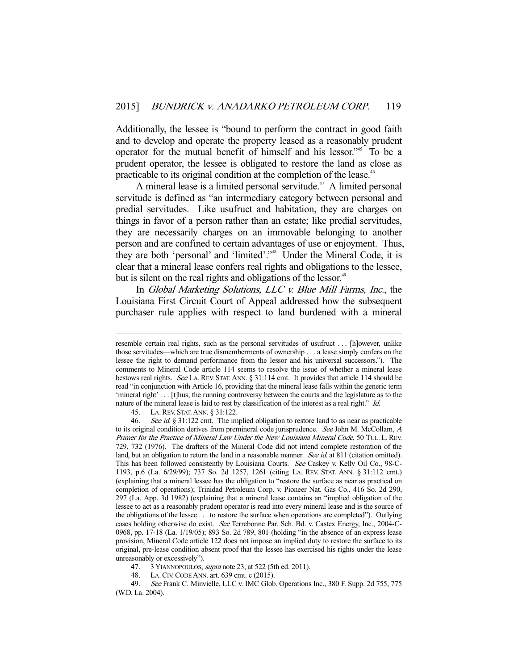Additionally, the lessee is "bound to perform the contract in good faith and to develop and operate the property leased as a reasonably prudent operator for the mutual benefit of himself and his lessor."45 To be a prudent operator, the lessee is obligated to restore the land as close as practicable to its original condition at the completion of the lease.<sup>46</sup>

A mineral lease is a limited personal servitude.<sup> $47$ </sup> A limited personal servitude is defined as "an intermediary category between personal and predial servitudes. Like usufruct and habitation, they are charges on things in favor of a person rather than an estate; like predial servitudes, they are necessarily charges on an immovable belonging to another person and are confined to certain advantages of use or enjoyment. Thus, they are both 'personal' and 'limited'."48 Under the Mineral Code, it is clear that a mineral lease confers real rights and obligations to the lessee, but is silent on the real rights and obligations of the lessor.<sup>49</sup>

 In Global Marketing Solutions, LLC v. Blue Mill Farms, Inc., the Louisiana First Circuit Court of Appeal addressed how the subsequent purchaser rule applies with respect to land burdened with a mineral

45. LA.REV. STAT.ANN. § 31:122.

-

47. 3 YIANNOPOULOS, supra note 23, at 522 (5th ed. 2011).

48. LA.CIV.CODE ANN. art. 639 cmt. c (2015).

resemble certain real rights, such as the personal servitudes of usufruct . . . [h]owever, unlike those servitudes—which are true dismemberments of ownership . . . a lease simply confers on the lessee the right to demand performance from the lessor and his universal successors."). The comments to Mineral Code article 114 seems to resolve the issue of whether a mineral lease bestows real rights. See LA.REV. STAT. ANN. § 31:114 cmt. It provides that article 114 should be read "in conjunction with Article 16, providing that the mineral lease falls within the generic term 'mineral right' . . . [t]hus, the running controversy between the courts and the legislature as to the nature of the mineral lease is laid to rest by classification of the interest as a real right." Id.

<sup>46.</sup> See id. § 31:122 cmt. The implied obligation to restore land to as near as practicable to its original condition derives from premineral code jurisprudence. See John M. McCollam, A Primer for the Practice of Mineral Law Under the New Louisiana Mineral Code, 50 TUL. L. REV. 729, 732 (1976). The drafters of the Mineral Code did not intend complete restoration of the land, but an obligation to return the land in a reasonable manner. See id. at 811 (citation omitted). This has been followed consistently by Louisiana Courts. See Caskey v. Kelly Oil Co., 98-C-1193, p.6 (La. 6/29/99); 737 So. 2d 1257, 1261 (citing LA. REV. STAT. ANN. § 31:112 cmt.) (explaining that a mineral lessee has the obligation to "restore the surface as near as practical on completion of operations); Trinidad Petroleum Corp. v. Pioneer Nat. Gas Co., 416 So. 2d 290, 297 (La. App. 3d 1982) (explaining that a mineral lease contains an "implied obligation of the lessee to act as a reasonably prudent operator is read into every mineral lease and is the source of the obligations of the lessee . . . to restore the surface when operations are completed"). Outlying cases holding otherwise do exist. See Terrebonne Par. Sch. Bd. v. Castex Energy, Inc., 2004-C-0968, pp. 17-18 (La. 1/19/05); 893 So. 2d 789, 801 (holding "in the absence of an express lease provision, Mineral Code article 122 does not impose an implied duty to restore the surface to its original, pre-lease condition absent proof that the lessee has exercised his rights under the lease unreasonably or excessively").

 <sup>49.</sup> See Frank C. Minvielle, LLC v. IMC Glob. Operations Inc., 380 F. Supp. 2d 755, 775 (W.D. La. 2004).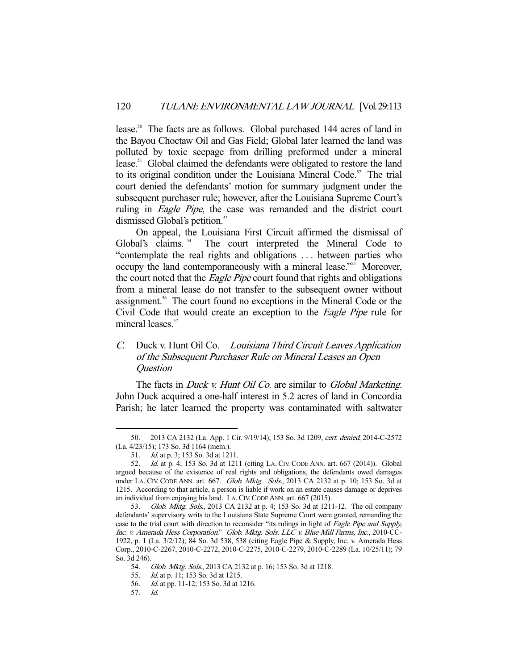lease.50 The facts are as follows. Global purchased 144 acres of land in the Bayou Choctaw Oil and Gas Field; Global later learned the land was polluted by toxic seepage from drilling preformed under a mineral lease.<sup>51</sup> Global claimed the defendants were obligated to restore the land to its original condition under the Louisiana Mineral Code.<sup>52</sup> The trial court denied the defendants' motion for summary judgment under the subsequent purchaser rule; however, after the Louisiana Supreme Court's ruling in *Eagle Pipe*, the case was remanded and the district court dismissed Global's petition.<sup>53</sup>

 On appeal, the Louisiana First Circuit affirmed the dismissal of Global's claims.<sup>54</sup> The court interpreted the Mineral Code to "contemplate the real rights and obligations . . . between parties who occupy the land contemporaneously with a mineral lease."<sup>55</sup> Moreover, the court noted that the *Eagle Pipe* court found that rights and obligations from a mineral lease do not transfer to the subsequent owner without assignment.56 The court found no exceptions in the Mineral Code or the Civil Code that would create an exception to the Eagle Pipe rule for mineral leases.<sup>57</sup>

# C. Duck v. Hunt Oil Co.—Louisiana Third Circuit Leaves Application of the Subsequent Purchaser Rule on Mineral Leases an Open **Question**

The facts in *Duck v. Hunt Oil Co.* are similar to *Global Marketing*. John Duck acquired a one-half interest in 5.2 acres of land in Concordia Parish; he later learned the property was contaminated with saltwater

 <sup>50. 2013</sup> CA 2132 (La. App. 1 Cir. 9/19/14); 153 So. 3d 1209, cert. denied, 2014-C-2572 (La. 4/23/15); 173 So. 3d 1164 (mem.).

<sup>51.</sup> *Id.* at p. 3; 153 So. 3d at 1211.

 <sup>52.</sup> Id. at p. 4; 153 So. 3d at 1211 (citing LA. CIV. CODE ANN. art. 667 (2014)). Global argued because of the existence of real rights and obligations, the defendants owed damages under LA. CIV. CODE ANN. art. 667. Glob. Mktg. Sols., 2013 CA 2132 at p. 10; 153 So. 3d at 1215. According to that article, a person is liable if work on an estate causes damage or deprives an individual from enjoying his land. LA.CIV.CODE ANN. art. 667 (2015).

 <sup>53.</sup> Glob. Mktg. Sols., 2013 CA 2132 at p. 4; 153 So. 3d at 1211-12. The oil company defendants' supervisory writs to the Louisiana State Supreme Court were granted, remanding the case to the trial court with direction to reconsider "its rulings in light of Eagle Pipe and Supply, Inc. v. Amerada Hess Corporation." Glob. Mktg. Sols. LLC v. Blue Mill Farms, Inc., 2010-CC-1922, p. 1 (La. 3/2/12); 84 So. 3d 538, 538 (citing Eagle Pipe & Supply, Inc. v. Amerada Hess Corp., 2010-C-2267, 2010-C-2272, 2010-C-2275, 2010-C-2279, 2010-C-2289 (La. 10/25/11); 79 So. 3d 246).

 <sup>54.</sup> Glob. Mktg. Sols., 2013 CA 2132 at p. 16; 153 So. 3d at 1218.

<sup>55.</sup> *Id.* at p. 11; 153 So. 3d at 1215.

 <sup>56.</sup> Id. at pp. 11-12; 153 So. 3d at 1216.

 <sup>57.</sup> Id.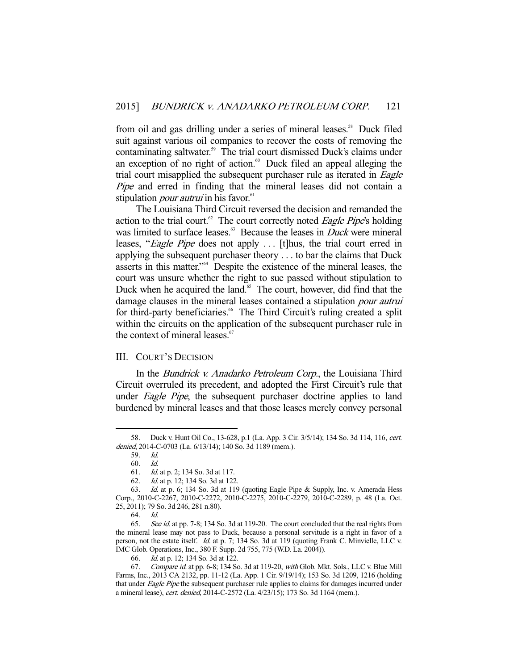from oil and gas drilling under a series of mineral leases.<sup>58</sup> Duck filed suit against various oil companies to recover the costs of removing the contaminating saltwater.<sup>59</sup> The trial court dismissed Duck's claims under an exception of no right of action.<sup>60</sup> Duck filed an appeal alleging the trial court misapplied the subsequent purchaser rule as iterated in *Eagle* Pipe and erred in finding that the mineral leases did not contain a stipulation *pour autrui* in his favor.<sup>61</sup>

 The Louisiana Third Circuit reversed the decision and remanded the action to the trial court.<sup>62</sup> The court correctly noted *Eagle Pipe's* holding was limited to surface leases.<sup>63</sup> Because the leases in *Duck* were mineral leases, "*Eagle Pipe* does not apply ... [t]hus, the trial court erred in applying the subsequent purchaser theory . . . to bar the claims that Duck asserts in this matter."64 Despite the existence of the mineral leases, the court was unsure whether the right to sue passed without stipulation to Duck when he acquired the land.<sup>65</sup> The court, however, did find that the damage clauses in the mineral leases contained a stipulation pour autrui for third-party beneficiaries.<sup>66</sup> The Third Circuit's ruling created a split within the circuits on the application of the subsequent purchaser rule in the context of mineral leases. $\delta$ 

### III. COURT'S DECISION

In the *Bundrick v. Anadarko Petroleum Corp.*, the Louisiana Third Circuit overruled its precedent, and adopted the First Circuit's rule that under *Eagle Pipe*, the subsequent purchaser doctrine applies to land burdened by mineral leases and that those leases merely convey personal

 <sup>58.</sup> Duck v. Hunt Oil Co., 13-628, p.1 (La. App. 3 Cir. 3/5/14); 134 So. 3d 114, 116, cert. denied, 2014-C-0703 (La. 6/13/14); 140 So. 3d 1189 (mem.).

 <sup>59.</sup> Id.

 <sup>60.</sup> Id.

 <sup>61.</sup> Id. at p. 2; 134 So. 3d at 117.

 <sup>62.</sup> Id. at p. 12; 134 So. 3d at 122.

 <sup>63.</sup> Id. at p. 6; 134 So. 3d at 119 (quoting Eagle Pipe & Supply, Inc. v. Amerada Hess Corp., 2010-C-2267, 2010-C-2272, 2010-C-2275, 2010-C-2279, 2010-C-2289, p. 48 (La. Oct. 25, 2011); 79 So. 3d 246, 281 n.80).

 <sup>64.</sup> Id.

 <sup>65.</sup> See id. at pp. 7-8; 134 So. 3d at 119-20. The court concluded that the real rights from the mineral lease may not pass to Duck, because a personal servitude is a right in favor of a person, not the estate itself. Id. at p. 7; 134 So. 3d at 119 (quoting Frank C. Minvielle, LLC v. IMC Glob. Operations, Inc., 380 F. Supp. 2d 755, 775 (W.D. La. 2004)).

 <sup>66.</sup> Id. at p. 12; 134 So. 3d at 122.

<sup>67.</sup> Compare id. at pp. 6-8; 134 So. 3d at 119-20, with Glob. Mkt. Sols., LLC v. Blue Mill Farms, Inc., 2013 CA 2132, pp. 11-12 (La. App. 1 Cir. 9/19/14); 153 So. 3d 1209, 1216 (holding that under *Eagle Pipe* the subsequent purchaser rule applies to claims for damages incurred under a mineral lease), cert. denied, 2014-C-2572 (La. 4/23/15); 173 So. 3d 1164 (mem.).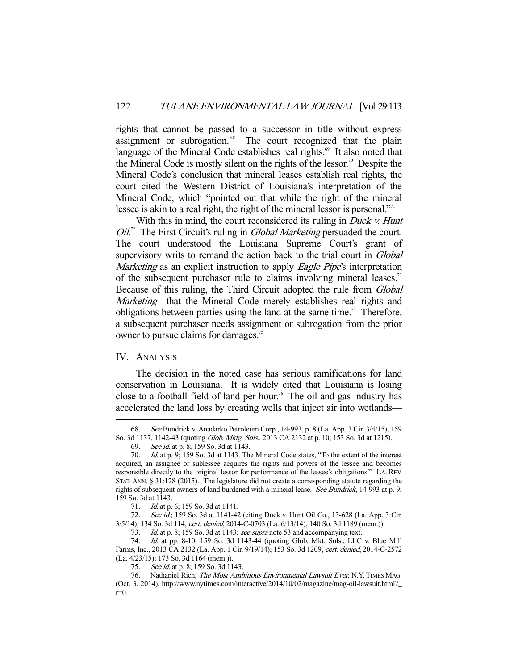rights that cannot be passed to a successor in title without express assignment or subrogation.<sup>68</sup> The court recognized that the plain language of the Mineral Code establishes real rights.<sup>69</sup> It also noted that the Mineral Code is mostly silent on the rights of the lessor.<sup>70</sup> Despite the Mineral Code's conclusion that mineral leases establish real rights, the court cited the Western District of Louisiana's interpretation of the Mineral Code, which "pointed out that while the right of the mineral lessee is akin to a real right, the right of the mineral lessor is personal."<sup>11</sup>

With this in mind, the court reconsidered its ruling in *Duck v. Hunt*  $OiI^{2}$  The First Circuit's ruling in *Global Marketing* persuaded the court. The court understood the Louisiana Supreme Court's grant of supervisory writs to remand the action back to the trial court in *Global* Marketing as an explicit instruction to apply *Eagle Pipe's* interpretation of the subsequent purchaser rule to claims involving mineral leases.<sup>73</sup> Because of this ruling, the Third Circuit adopted the rule from Global Marketing—that the Mineral Code merely establishes real rights and obligations between parties using the land at the same time.<sup>74</sup> Therefore, a subsequent purchaser needs assignment or subrogation from the prior owner to pursue claims for damages.<sup>75</sup>

### IV. ANALYSIS

-

 The decision in the noted case has serious ramifications for land conservation in Louisiana. It is widely cited that Louisiana is losing close to a football field of land per hour.<sup>76</sup> The oil and gas industry has accelerated the land loss by creating wells that inject air into wetlands—

 <sup>68.</sup> See Bundrick v. Anadarko Petroleum Corp., 14-993, p. 8 (La. App. 3 Cir. 3/4/15); 159 So. 3d 1137, 1142-43 (quoting Glob. Mktg. Sols., 2013 CA 2132 at p. 10; 153 So. 3d at 1215).

 <sup>69.</sup> See id. at p. 8; 159 So. 3d at 1143.

<sup>70.</sup> Id. at p. 9; 159 So. 3d at 1143. The Mineral Code states, "To the extent of the interest acquired, an assignee or sublessee acquires the rights and powers of the lessee and becomes responsible directly to the original lessor for performance of the lessee's obligations." LA. REV. STAT. ANN. § 31:128 (2015). The legislature did not create a corresponding statute regarding the rights of subsequent owners of land burdened with a mineral lease. See Bundrick, 14-993 at p. 9; 159 So. 3d at 1143.

<sup>71.</sup> *Id.* at p. 6; 159 So. 3d at 1141.

<sup>72.</sup> See id.; 159 So. 3d at 1141-42 (citing Duck v. Hunt Oil Co., 13-628 (La. App. 3 Cir. 3/5/14); 134 So. 3d 114, cert. denied, 2014-C-0703 (La. 6/13/14); 140 So. 3d 1189 (mem.)).

<sup>73.</sup> Id. at p. 8; 159 So. 3d at 1143; see supra note 53 and accompanying text.

 <sup>74.</sup> Id. at pp. 8-10; 159 So. 3d 1143-44 (quoting Glob. Mkt. Sols., LLC v. Blue Mill Farms, Inc., 2013 CA 2132 (La. App. 1 Cir. 9/19/14); 153 So. 3d 1209, cert. denied, 2014-C-2572 (La. 4/23/15); 173 So. 3d 1164 (mem.)).

<sup>75.</sup> See id. at p. 8; 159 So. 3d 1143.

<sup>76.</sup> Nathaniel Rich, The Most Ambitious Environmental Lawsuit Ever, N.Y. TIMES MAG. (Oct. 3, 2014), http://www.nytimes.com/interactive/2014/10/02/magazine/mag-oil-lawsuit.html?\_  $r=0$ .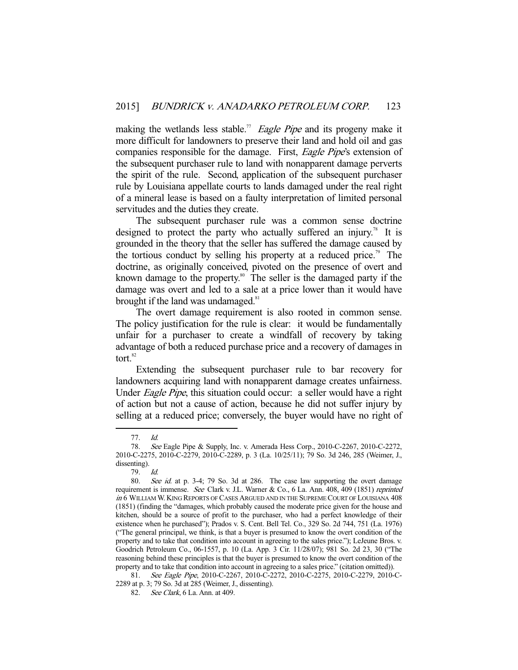making the wetlands less stable.<sup>77</sup> Eagle Pipe and its progeny make it more difficult for landowners to preserve their land and hold oil and gas companies responsible for the damage. First, Eagle Pipe's extension of the subsequent purchaser rule to land with nonapparent damage perverts the spirit of the rule. Second, application of the subsequent purchaser rule by Louisiana appellate courts to lands damaged under the real right of a mineral lease is based on a faulty interpretation of limited personal servitudes and the duties they create.

 The subsequent purchaser rule was a common sense doctrine designed to protect the party who actually suffered an injury.<sup>78</sup> It is grounded in the theory that the seller has suffered the damage caused by the tortious conduct by selling his property at a reduced price.<sup>79</sup> The doctrine, as originally conceived, pivoted on the presence of overt and known damage to the property.<sup>80</sup> The seller is the damaged party if the damage was overt and led to a sale at a price lower than it would have brought if the land was undamaged. $81$ 

 The overt damage requirement is also rooted in common sense. The policy justification for the rule is clear: it would be fundamentally unfair for a purchaser to create a windfall of recovery by taking advantage of both a reduced purchase price and a recovery of damages in tort.<sup>82</sup>

 Extending the subsequent purchaser rule to bar recovery for landowners acquiring land with nonapparent damage creates unfairness. Under *Eagle Pipe*, this situation could occur: a seller would have a right of action but not a cause of action, because he did not suffer injury by selling at a reduced price; conversely, the buyer would have no right of

 <sup>77.</sup> Id.

 <sup>78.</sup> See Eagle Pipe & Supply, Inc. v. Amerada Hess Corp., 2010-C-2267, 2010-C-2272, 2010-C-2275, 2010-C-2279, 2010-C-2289, p. 3 (La. 10/25/11); 79 So. 3d 246, 285 (Weimer, J., dissenting).

 <sup>79.</sup> Id.

 <sup>80.</sup> See id. at p. 3-4; 79 So. 3d at 286. The case law supporting the overt damage requirement is immense. See Clark v. J.L. Warner & Co., 6 La. Ann. 408, 409 (1851) reprinted in 6 WILLIAM W. KING REPORTS OF CASES ARGUED AND IN THE SUPREME COURT OF LOUISIANA 408 (1851) (finding the "damages, which probably caused the moderate price given for the house and kitchen, should be a source of profit to the purchaser, who had a perfect knowledge of their existence when he purchased"); Prados v. S. Cent. Bell Tel. Co., 329 So. 2d 744, 751 (La. 1976) ("The general principal, we think, is that a buyer is presumed to know the overt condition of the property and to take that condition into account in agreeing to the sales price."); LeJeune Bros. v. Goodrich Petroleum Co., 06-1557, p. 10 (La. App. 3 Cir. 11/28/07); 981 So. 2d 23, 30 ("The reasoning behind these principles is that the buyer is presumed to know the overt condition of the property and to take that condition into account in agreeing to a sales price." (citation omitted)).

 <sup>81.</sup> See Eagle Pipe, 2010-C-2267, 2010-C-2272, 2010-C-2275, 2010-C-2279, 2010-C-2289 at p. 3; 79 So. 3d at 285 (Weimer, J., dissenting).

 <sup>82.</sup> See Clark, 6 La. Ann. at 409.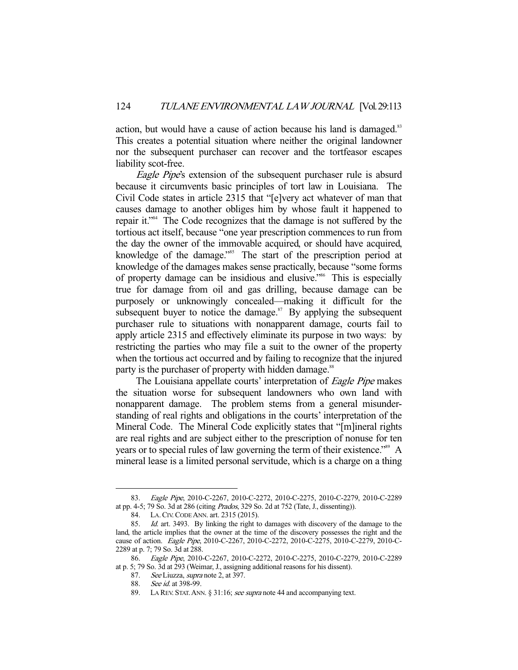action, but would have a cause of action because his land is damaged.<sup>83</sup> This creates a potential situation where neither the original landowner nor the subsequent purchaser can recover and the tortfeasor escapes liability scot-free.

Eagle Pipe's extension of the subsequent purchaser rule is absurd because it circumvents basic principles of tort law in Louisiana. The Civil Code states in article 2315 that "[e]very act whatever of man that causes damage to another obliges him by whose fault it happened to repair it."84 The Code recognizes that the damage is not suffered by the tortious act itself, because "one year prescription commences to run from the day the owner of the immovable acquired, or should have acquired, knowledge of the damage."<sup>85</sup> The start of the prescription period at knowledge of the damages makes sense practically, because "some forms of property damage can be insidious and elusive."86 This is especially true for damage from oil and gas drilling, because damage can be purposely or unknowingly concealed—making it difficult for the subsequent buyer to notice the damage. $87$  By applying the subsequent purchaser rule to situations with nonapparent damage, courts fail to apply article 2315 and effectively eliminate its purpose in two ways: by restricting the parties who may file a suit to the owner of the property when the tortious act occurred and by failing to recognize that the injured party is the purchaser of property with hidden damage.<sup>88</sup>

The Louisiana appellate courts' interpretation of *Eagle Pipe* makes the situation worse for subsequent landowners who own land with nonapparent damage. The problem stems from a general misunderstanding of real rights and obligations in the courts' interpretation of the Mineral Code. The Mineral Code explicitly states that "[m]ineral rights are real rights and are subject either to the prescription of nonuse for ten years or to special rules of law governing the term of their existence.<sup>589</sup> A mineral lease is a limited personal servitude, which is a charge on a thing

 <sup>83.</sup> Eagle Pipe, 2010-C-2267, 2010-C-2272, 2010-C-2275, 2010-C-2279, 2010-C-2289 at pp. 4-5; 79 So. 3d at 286 (citing Prados, 329 So. 2d at 752 (Tate, J., dissenting)).

 <sup>84.</sup> LA.CIV.CODE ANN. art. 2315 (2015).

<sup>85.</sup> Id. art. 3493. By linking the right to damages with discovery of the damage to the land, the article implies that the owner at the time of the discovery possesses the right and the cause of action. Eagle Pipe, 2010-C-2267, 2010-C-2272, 2010-C-2275, 2010-C-2279, 2010-C-2289 at p. 7; 79 So. 3d at 288.

 <sup>86.</sup> Eagle Pipe, 2010-C-2267, 2010-C-2272, 2010-C-2275, 2010-C-2279, 2010-C-2289 at p. 5; 79 So. 3d at 293 (Weimar, J., assigning additional reasons for his dissent).

<sup>87.</sup> See Liuzza, *supra* note 2, at 397.

<sup>88.</sup> See id. at 398-99.

<sup>89.</sup> LA REV. STAT. ANN. § 31:16; see supra note 44 and accompanying text.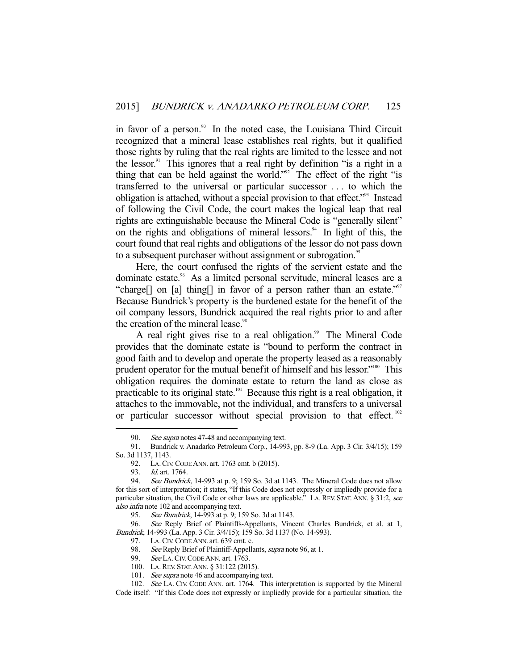in favor of a person.<sup>90</sup> In the noted case, the Louisiana Third Circuit recognized that a mineral lease establishes real rights, but it qualified those rights by ruling that the real rights are limited to the lessee and not the lessor.<sup>91</sup> This ignores that a real right by definition "is a right in a thing that can be held against the world."92 The effect of the right "is transferred to the universal or particular successor . . . to which the obligation is attached, without a special provision to that effect."93 Instead of following the Civil Code, the court makes the logical leap that real rights are extinguishable because the Mineral Code is "generally silent" on the rights and obligations of mineral lessors.<sup>94</sup> In light of this, the court found that real rights and obligations of the lessor do not pass down to a subsequent purchaser without assignment or subrogation.<sup>95</sup>

 Here, the court confused the rights of the servient estate and the dominate estate.<sup>96</sup> As a limited personal servitude, mineral leases are a "charge[] on [a] thing[] in favor of a person rather than an estate."<sup>97</sup> Because Bundrick's property is the burdened estate for the benefit of the oil company lessors, Bundrick acquired the real rights prior to and after the creation of the mineral lease.<sup>98</sup>

A real right gives rise to a real obligation.<sup>99</sup> The Mineral Code provides that the dominate estate is "bound to perform the contract in good faith and to develop and operate the property leased as a reasonably prudent operator for the mutual benefit of himself and his lessor."100 This obligation requires the dominate estate to return the land as close as practicable to its original state.<sup>101</sup> Because this right is a real obligation, it attaches to the immovable, not the individual, and transfers to a universal or particular successor without special provision to that effect.  $102$ 

<sup>90.</sup> See supra notes 47-48 and accompanying text.

 <sup>91.</sup> Bundrick v. Anadarko Petroleum Corp., 14-993, pp. 8-9 (La. App. 3 Cir. 3/4/15); 159 So. 3d 1137, 1143.

 <sup>92.</sup> LA.CIV.CODE ANN. art. 1763 cmt. b (2015).

 <sup>93.</sup> Id. art. 1764.

<sup>94.</sup> See Bundrick, 14-993 at p. 9; 159 So. 3d at 1143. The Mineral Code does not allow for this sort of interpretation; it states, "If this Code does not expressly or impliedly provide for a particular situation, the Civil Code or other laws are applicable." LA. REV. STAT. ANN. § 31:2, see also infra note 102 and accompanying text.

<sup>95.</sup> See Bundrick, 14-993 at p. 9; 159 So. 3d at 1143.

 <sup>96.</sup> See Reply Brief of Plaintiffs-Appellants, Vincent Charles Bundrick, et al. at 1, Bundrick, 14-993 (La. App. 3 Cir. 3/4/15); 159 So. 3d 1137 (No. 14-993).

 <sup>97.</sup> LA.CIV.CODE ANN. art. 639 cmt. c.

<sup>98.</sup> See Reply Brief of Plaintiff-Appellants, *supra* note 96, at 1.

<sup>99.</sup> *See* La. Civ. Code Ann. art. 1763.

 <sup>100.</sup> LA.REV. STAT.ANN. § 31:122 (2015).

<sup>101.</sup> See supra note 46 and accompanying text.

 <sup>102.</sup> See LA. CIV. CODE ANN. art. 1764. This interpretation is supported by the Mineral Code itself: "If this Code does not expressly or impliedly provide for a particular situation, the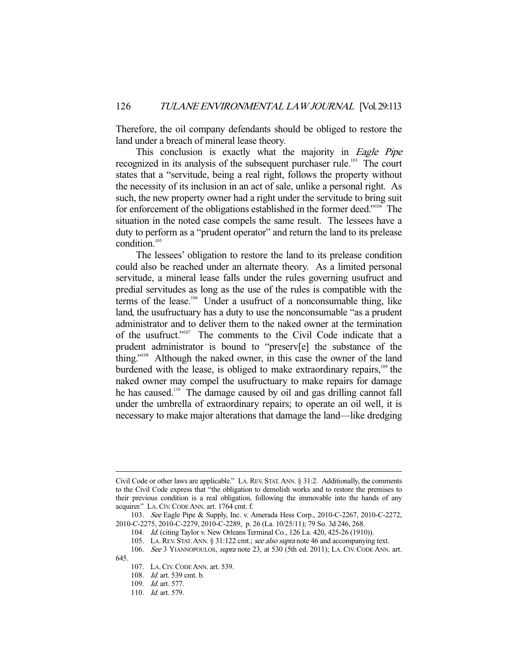Therefore, the oil company defendants should be obliged to restore the land under a breach of mineral lease theory.

This conclusion is exactly what the majority in Eagle Pipe recognized in its analysis of the subsequent purchaser rule.<sup>103</sup> The court states that a "servitude, being a real right, follows the property without the necessity of its inclusion in an act of sale, unlike a personal right. As such, the new property owner had a right under the servitude to bring suit for enforcement of the obligations established in the former deed."<sup>104</sup> The situation in the noted case compels the same result. The lessees have a duty to perform as a "prudent operator" and return the land to its prelease condition.105

 The lessees' obligation to restore the land to its prelease condition could also be reached under an alternate theory. As a limited personal servitude, a mineral lease falls under the rules governing usufruct and predial servitudes as long as the use of the rules is compatible with the terms of the lease.<sup>106</sup> Under a usufruct of a nonconsumable thing, like land, the usufructuary has a duty to use the nonconsumable "as a prudent administrator and to deliver them to the naked owner at the termination of the usufruct."107 The comments to the Civil Code indicate that a prudent administrator is bound to "preserv[e] the substance of the thing."108 Although the naked owner, in this case the owner of the land burdened with the lease, is obliged to make extraordinary repairs, $109$  the naked owner may compel the usufructuary to make repairs for damage he has caused.<sup>110</sup> The damage caused by oil and gas drilling cannot fall under the umbrella of extraordinary repairs; to operate an oil well, it is necessary to make major alterations that damage the land—like dredging

Civil Code or other laws are applicable." LA.REV. STAT.ANN. § 31:2. Additionally, the comments to the Civil Code express that "the obligation to demolish works and to restore the premises to their previous condition is a real obligation, following the immovable into the hands of any acquirer." LA.CIV.CODE ANN. art. 1764 cmt. f.

 <sup>103.</sup> See Eagle Pipe & Supply, Inc. v. Amerada Hess Corp., 2010-C-2267, 2010-C-2272, 2010-C-2275, 2010-C-2279, 2010-C-2289, p. 26 (La. 10/25/11); 79 So. 3d 246, 268.

<sup>104.</sup> *Id.* (citing Taylor v. New Orleans Terminal Co., 126 La. 420, 425-26 (1910)).

<sup>105.</sup> LA. REV. STAT. ANN. § 31:122 cmt.; see also supra note 46 and accompanying text.

 <sup>106.</sup> See 3 YIANNOPOULOS, supra note 23, at 530 (5th ed. 2011); LA. CIV. CODE ANN. art. 645.

 <sup>107.</sup> LA.CIV.CODE ANN. art. 539.

 <sup>108.</sup> Id. art. 539 cmt. b.

 <sup>109.</sup> Id. art. 577.

<sup>110.</sup> *Id.* art. 579.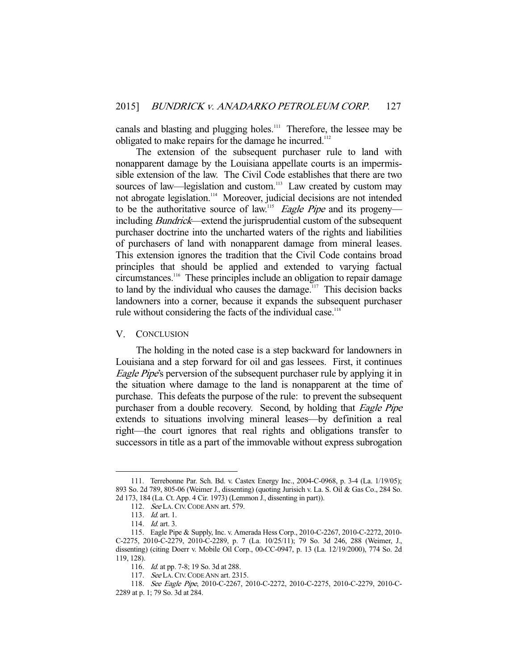canals and blasting and plugging holes.<sup>111</sup> Therefore, the lessee may be obligated to make repairs for the damage he incurred.<sup>112</sup>

 The extension of the subsequent purchaser rule to land with nonapparent damage by the Louisiana appellate courts is an impermissible extension of the law. The Civil Code establishes that there are two sources of law—legislation and custom.<sup>113</sup> Law created by custom may not abrogate legislation.<sup>114</sup> Moreover, judicial decisions are not intended to be the authoritative source of law.<sup>115</sup> Eagle Pipe and its progeny including Bundrick—extend the jurisprudential custom of the subsequent purchaser doctrine into the uncharted waters of the rights and liabilities of purchasers of land with nonapparent damage from mineral leases. This extension ignores the tradition that the Civil Code contains broad principles that should be applied and extended to varying factual circumstances.116 These principles include an obligation to repair damage to land by the individual who causes the damage.<sup>117</sup> This decision backs landowners into a corner, because it expands the subsequent purchaser rule without considering the facts of the individual case. $118$ 

### V. CONCLUSION

 The holding in the noted case is a step backward for landowners in Louisiana and a step forward for oil and gas lessees. First, it continues Eagle Pipe's perversion of the subsequent purchaser rule by applying it in the situation where damage to the land is nonapparent at the time of purchase. This defeats the purpose of the rule: to prevent the subsequent purchaser from a double recovery. Second, by holding that *Eagle Pipe* extends to situations involving mineral leases—by definition a real right—the court ignores that real rights and obligations transfer to successors in title as a part of the immovable without express subrogation

 <sup>111.</sup> Terrebonne Par. Sch. Bd. v. Castex Energy Inc., 2004-C-0968, p. 3-4 (La. 1/19/05); 893 So. 2d 789, 805-06 (Weimer J., dissenting) (quoting Jurisich v. La. S. Oil & Gas Co., 284 So. 2d 173, 184 (La. Ct. App. 4 Cir. 1973) (Lemmon J., dissenting in part)).

<sup>112.</sup> See LA. CIV. CODE ANN art. 579.

 <sup>113.</sup> Id. art. 1.

 <sup>114.</sup> Id. art. 3.

 <sup>115.</sup> Eagle Pipe & Supply, Inc. v. Amerada Hess Corp., 2010-C-2267, 2010-C-2272, 2010- C-2275, 2010-C-2279, 2010-C-2289, p. 7 (La. 10/25/11); 79 So. 3d 246, 288 (Weimer, J., dissenting) (citing Doerr v. Mobile Oil Corp., 00-CC-0947, p. 13 (La. 12/19/2000), 774 So. 2d 119, 128).

 <sup>116.</sup> Id. at pp. 7-8; 19 So. 3d at 288.

 <sup>117.</sup> See LA.CIV.CODE ANN art. 2315.

 <sup>118.</sup> See Eagle Pipe, 2010-C-2267, 2010-C-2272, 2010-C-2275, 2010-C-2279, 2010-C-2289 at p. 1; 79 So. 3d at 284.